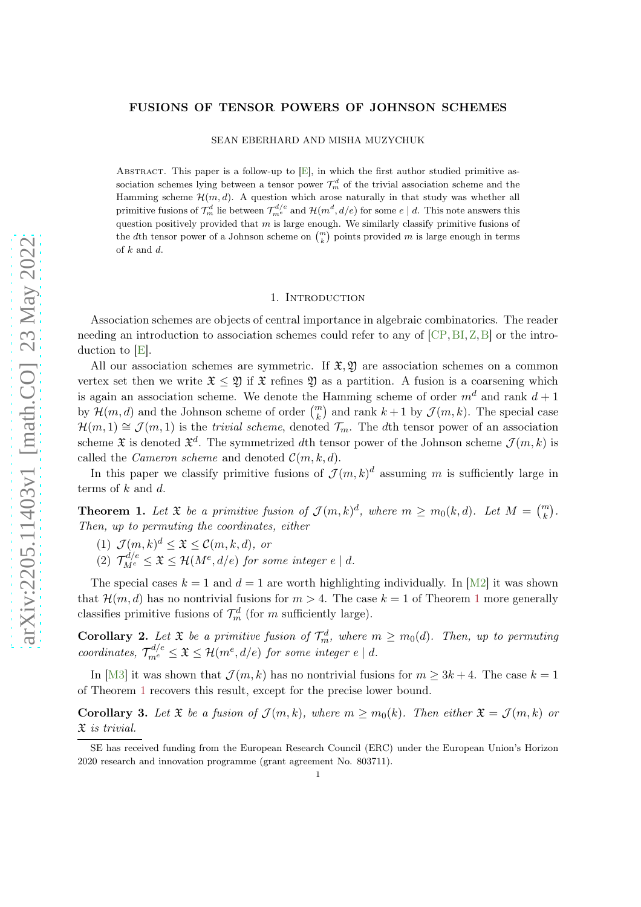## <span id="page-0-2"></span>FUSIONS OF TENSOR POWERS OF JOHNSON SCHEMES

### SEAN EBERHARD AND MISHA MUZYCHUK

ABSTRACT. This paper is a follow-up to  $[E]$ , in which the first author studied primitive association schemes lying between a tensor power  $\mathcal{T}_{m}^{d}$  of the trivial association scheme and the Hamming scheme  $\mathcal{H}(m, d)$ . A question which arose naturally in that study was whether all primitive fusions of  $\mathcal{T}_{m}^{d}$  lie between  $\mathcal{T}_{m}^{d/e}$  and  $\mathcal{H}(m^{d}, d/e)$  for some  $e \mid d$ . This note answers this question positively provided that  $m$  is large enough. We similarly classify primitive fusions of the dth tensor power of a Johnson scheme on  $\binom{m}{k}$  points provided m is large enough in terms of  $k$  and  $d$ .

## 1. INTRODUCTION

<span id="page-0-1"></span>Association schemes are objects of central importance in algebraic combinatorics. The reader needing an introduction to association schemes could refer to any of [\[CP,](#page-4-1)[BI,](#page-4-2)[Z,](#page-5-0)[B\]](#page-4-3) or the introduction to [\[E\]](#page-4-0).

All our association schemes are symmetric. If  $\mathfrak{X}, \mathfrak{Y}$  are association schemes on a common vertex set then we write  $\mathfrak{X} \leq \mathfrak{Y}$  if  $\mathfrak{X}$  refines  $\mathfrak{Y}$  as a partition. A fusion is a coarsening which is again an association scheme. We denote the Hamming scheme of order  $m<sup>d</sup>$  and rank  $d+1$ by  $\mathcal{H}(m,d)$  and the Johnson scheme of order  $\binom{m}{k}$  and rank  $k+1$  by  $\mathcal{J}(m,k)$ . The special case  $\mathcal{H}(m,1) \cong \mathcal{J}(m,1)$  is the *trivial scheme*, denoted  $\mathcal{T}_m$ . The dth tensor power of an association scheme  $\mathfrak X$  is denoted  $\mathfrak X^d$ . The symmetrized dth tensor power of the Johnson scheme  $\mathcal J(m,k)$  is called the *Cameron scheme* and denoted  $\mathcal{C}(m, k, d)$ .

<span id="page-0-0"></span>In this paper we classify primitive fusions of  $\mathcal{J}(m,k)^d$  assuming m is sufficiently large in terms of  $k$  and  $d$ .

**Theorem 1.** Let  $\mathfrak{X}$  be a primitive fusion of  $\mathcal{J}(m,k)^d$ , where  $m \geq m_0(k,d)$ . Let  $M = \binom{m}{k}$ . Then, up to permuting the coordinates, either

- <span id="page-0-4"></span>(1)  $\mathcal{J}(m,k)^d \leq \mathfrak{X} \leq \mathcal{C}(m,k,d)$ , or
- (2)  $\mathcal{T}_{M^{e}}^{d/e} \leq \mathfrak{X} \leq \mathcal{H}(M^{e}, d/e)$  for some integer  $e \mid d$ .

The special cases  $k = 1$  and  $d = 1$  are worth highlighting individually. In [\[M2\]](#page-4-4) it was shown that  $\mathcal{H}(m, d)$  has no nontrivial fusions for  $m > 4$ . The case  $k = 1$  $k = 1$  of Theorem 1 more generally classifies primitive fusions of  $\mathcal{T}_{m}^{d}$  (for m sufficiently large).

<span id="page-0-5"></span>**Corollary 2.** Let  $\mathfrak{X}$  be a primitive fusion of  $\mathcal{T}_m^d$ , where  $m \geq m_0(d)$ . Then, up to permuting coordinates,  $\mathcal{T}_{m^e}^{d/e} \leq \mathfrak{X} \leq \mathcal{H}(m^e, d/e)$  for some integer  $e \mid d$ .

<span id="page-0-3"></span>In [\[M3\]](#page-4-5) it was shown that  $\mathcal{J}(m, k)$  has no nontrivial fusions for  $m \geq 3k + 4$ . The case  $k = 1$ of Theorem [1](#page-0-0) recovers this result, except for the precise lower bound.

**Corollary 3.** Let  $\mathfrak{X}$  be a fusion of  $\mathcal{J}(m, k)$ , where  $m > m_0(k)$ . Then either  $\mathfrak{X} = \mathcal{J}(m, k)$  or X is trivial.

SE has received funding from the European Research Council (ERC) under the European Union's Horizon 2020 research and innovation programme (grant agreement No. 803711).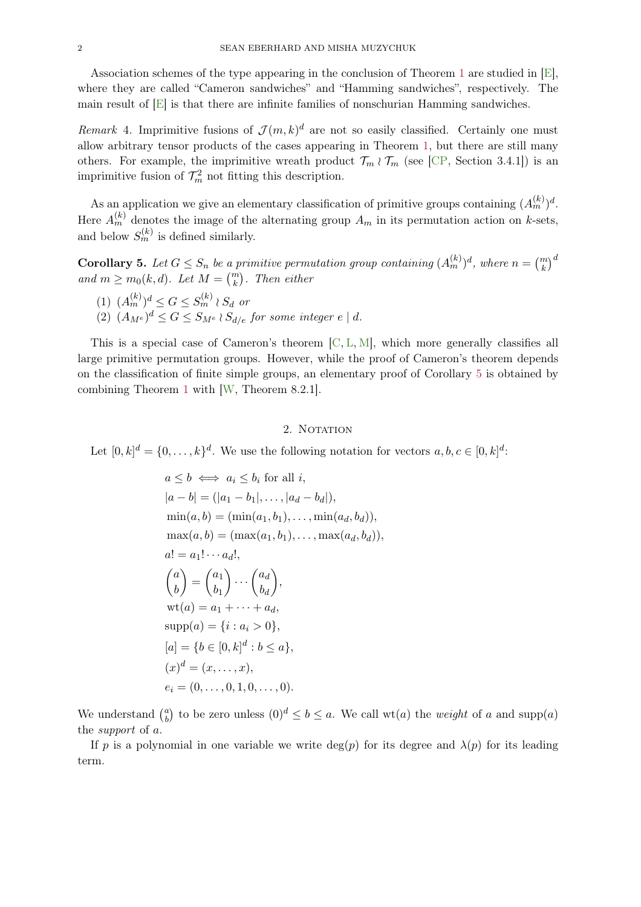Association schemes of the type appearing in the conclusion of Theorem [1](#page-0-0) are studied in [\[E\]](#page-4-0), where they are called "Cameron sandwiches" and "Hamming sandwiches", respectively. The main result of [\[E\]](#page-4-0) is that there are infinite families of nonschurian Hamming sandwiches.

<span id="page-1-2"></span>Remark 4. Imprimitive fusions of  $\mathcal{J}(m,k)^d$  are not so easily classified. Certainly one must allow arbitrary tensor products of the cases appearing in Theorem [1,](#page-0-0) but there are still many others. For example, the imprimitive wreath product  $\mathcal{T}_m \wr \mathcal{T}_m$  (see [\[CP,](#page-4-1) Section 3.4.1]) is an imprimitive fusion of  $\mathcal{T}_m^2$  not fitting this description.

As an application we give an elementary classification of primitive groups containing  $(A_m^{(k)})^d$ . Here  $A_m^{(k)}$  denotes the image of the alternating group  $A_m$  in its permutation action on k-sets, and below  $S_m^{(k)}$  is defined similarly.

<span id="page-1-0"></span>**Corollary 5.** Let  $G \leq S_n$  be a primitive permutation group containing  $(A_m^{(k)})^d$ , where  $n = {m \choose k}^d$ and  $m \geq m_0(k, d)$ . Let  $M = \binom{m}{k}$ . Then either

- <span id="page-1-1"></span> $(1)$   $(A_m^{(k)})^d \leq G \leq S_m^{(k)} \wr S_d$  or
- (2)  $(A_{M^e})^d \leq G \leq S_{M^e} \wr S_{d/e}$  for some integer  $e \mid d$ .

This is a special case of Cameron's theorem  $[C, L, M]$  $[C, L, M]$  $[C, L, M]$  $[C, L, M]$ , which more generally classifies all large primitive permutation groups. However, while the proof of Cameron's theorem depends on the classification of finite simple groups, an elementary proof of Corollary [5](#page-1-0) is obtained by combining Theorem [1](#page-0-0) with [\[W,](#page-5-1) Theorem 8.2.1].

# 2. NOTATION

Let  $[0, k]^d = \{0, \ldots, k\}^d$ . We use the following notation for vectors  $a, b, c \in [0, k]^d$ :

$$
a \leq b \iff a_i \leq b_i \text{ for all } i,
$$
  
\n
$$
|a - b| = (|a_1 - b_1|, \dots, |a_d - b_d|),
$$
  
\n
$$
\min(a, b) = (\min(a_1, b_1), \dots, \min(a_d, b_d)),
$$
  
\n
$$
\max(a, b) = (\max(a_1, b_1), \dots, \max(a_d, b_d)),
$$
  
\n
$$
a! = a_1! \cdots a_d!,
$$
  
\n
$$
\binom{a}{b} = \binom{a_1}{b_1} \cdots \binom{a_d}{b_d},
$$
  
\n
$$
\text{wt}(a) = a_1 + \cdots + a_d,
$$
  
\n
$$
\text{supp}(a) = \{i : a_i > 0\},
$$
  
\n
$$
[a] = \{b \in [0, k]^d : b \leq a\},
$$
  
\n
$$
(x)^d = (x, \dots, x),
$$
  
\n
$$
e_i = (0, \dots, 0, 1, 0, \dots, 0).
$$

We understand  $\binom{a}{b}$  $\binom{a}{b}$  to be zero unless  $(0)^d \le b \le a$ . We call wt(a) the *weight* of a and supp(a) the support of a.

If p is a polynomial in one variable we write  $deg(p)$  for its degree and  $\lambda(p)$  for its leading term.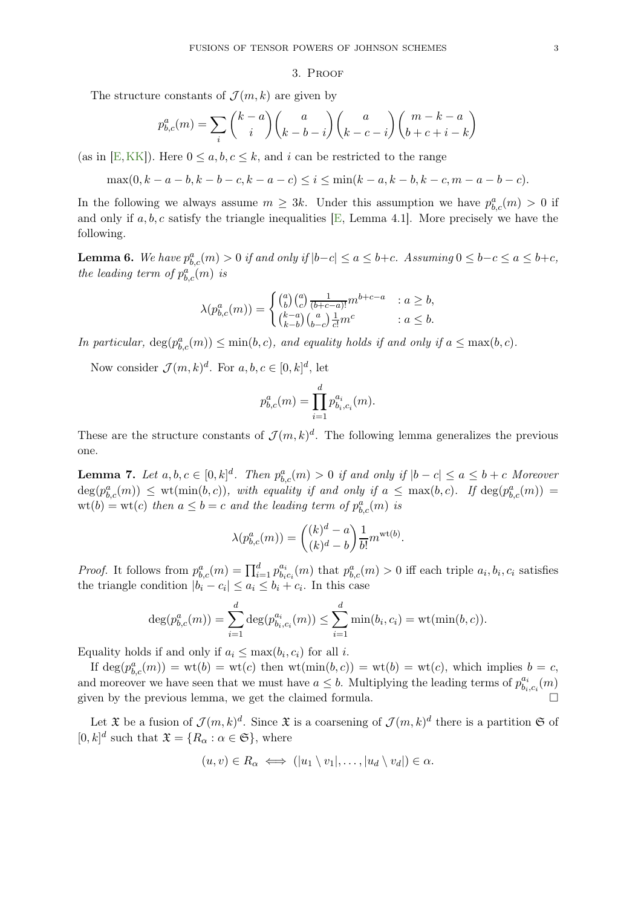# 3. Proof

<span id="page-2-0"></span>The structure constants of  $\mathcal{J}(m, k)$  are given by

$$
p_{b,c}^a(m) = \sum_i \binom{k-a}{i} \binom{a}{k-b-i} \binom{a}{k-c-i} \binom{m-k-a}{b+c+i-k}
$$

(as in [\[E,](#page-4-0) [KK\]](#page-4-9)). Here  $0 \le a, b, c \le k$ , and i can be restricted to the range

$$
\max(0, k - a - b, k - b - c, k - a - c) \le i \le \min(k - a, k - b, k - c, m - a - b - c).
$$

In the following we always assume  $m \geq 3k$ . Under this assumption we have  $p_{b,c}^a(m) > 0$  if and only if  $a, b, c$  satisfy the triangle inequalities [\[E,](#page-4-0) Lemma 4.1]. More precisely we have the following.

**Lemma 6.** We have  $p_{b,c}^a(m) > 0$  if and only if  $|b-c| \le a \le b+c$ . Assuming  $0 \le b-c \le a \le b+c$ , the leading term of  $p_{b,c}^a(m)$  is

$$
\lambda(p_{b,c}^a(m)) = \begin{cases} {a \choose b} {a \choose c} \frac{1}{(b+c-a)!} m^{b+c-a} & : a \ge b, \\ {k-a \choose k-b} {a \choose b-c} \frac{1}{c!} m^c & : a \le b. \end{cases}
$$

In particular,  $deg(p_{b,c}^a(m)) \leq min(b, c)$ , and equality holds if and only if  $a \leq max(b, c)$ .

Now consider  $\mathcal{J}(m,k)^d$ . For  $a,b,c \in [0,k]^d$ , let

$$
p_{b,c}^a(m) = \prod_{i=1}^d p_{b_i,c_i}^{a_i}(m).
$$

<span id="page-2-1"></span>These are the structure constants of  $\mathcal{J}(m,k)^d$ . The following lemma generalizes the previous one.

**Lemma 7.** Let  $a, b, c \in [0, k]^d$ . Then  $p_{b,c}^a(m) > 0$  if and only if  $|b - c| \le a \le b + c$  Moreover  $deg(p_{b,c}^a(m)) \leq \text{wt}(\min(b,c)),$  with equality if and only if  $a \leq \max(b,c)$ . If  $deg(p_{b,c}^a(m)) =$  $\text{wt}(b) = \text{wt}(c)$  then  $a \leq b = c$  and the leading term of  $p_{b,c}^a(m)$  is

$$
\lambda(p_{b,c}^a(m)) = \binom{(k)^d - a}{(k)^d - b} \frac{1}{b!} m^{\text{wt}(b)}.
$$

*Proof.* It follows from  $p_{b,c}^a(m) = \prod_{i=1}^d p_{b_i}^{a_i}$  $b_{i,c_i}(m)$  that  $p_{b,c}^a(m) > 0$  iff each triple  $a_i, b_i, c_i$  satisfies the triangle condition  $|b_i - c_i| \le a_i \le b_i + c_i$ . In this case

$$
\deg(p_{b,c}^a(m)) = \sum_{i=1}^d \deg(p_{b_i,c_i}^{a_i}(m)) \le \sum_{i=1}^d \min(b_i,c_i) = \text{wt}(\min(b,c)).
$$

Equality holds if and only if  $a_i \leq \max(b_i, c_i)$  for all *i*.

If  $\deg(p_{b,c}^a(m)) = \text{wt}(b) = \text{wt}(c)$  then  $\text{wt}(\min(b,c)) = \text{wt}(b) = \text{wt}(c)$ , which implies  $b = c$ , and moreover we have seen that we must have  $a \leq b$ . Multiplying the leading terms of  $p_{b}^{a_i}$ .  $\substack{a_i \ b_i, c_i}(m)$ given by the previous lemma, we get the claimed formula.

Let  $\mathfrak X$  be a fusion of  $\mathcal J(m,k)^d$ . Since  $\mathfrak X$  is a coarsening of  $\mathcal J(m,k)^d$  there is a partition  $\mathfrak S$  of  $[0, k]^d$  such that  $\mathfrak{X} = \{R_\alpha : \alpha \in \mathfrak{S}\},\$  where

$$
(u,v) \in R_{\alpha} \iff (|u_1 \setminus v_1|, \ldots, |u_d \setminus v_d|) \in \alpha.
$$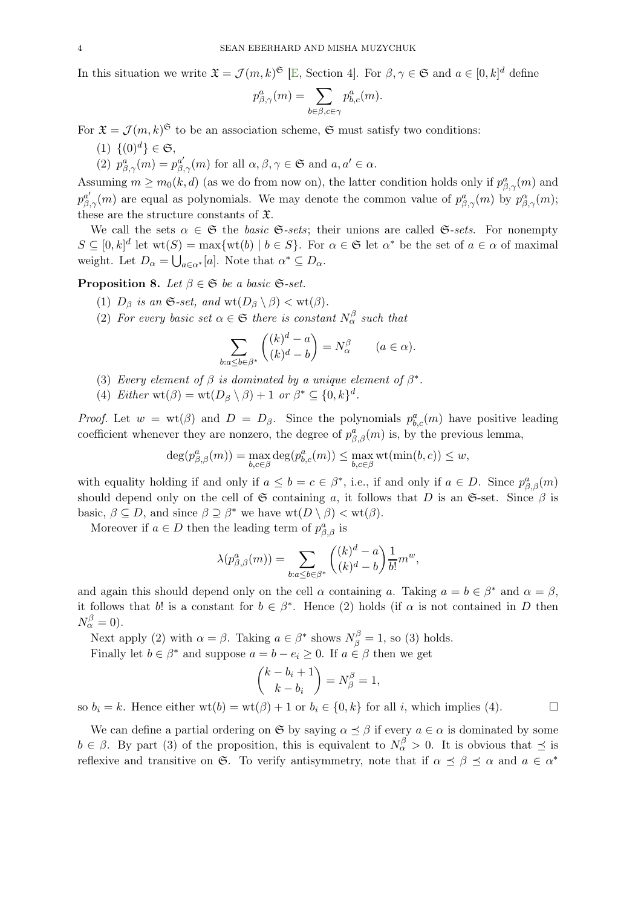In this situation we write  $\mathfrak{X} = \mathcal{J}(m, k)^\mathfrak{S}$  [\[E,](#page-4-0) Section 4]. For  $\beta, \gamma \in \mathfrak{S}$  and  $a \in [0, k]^d$  define

$$
p_{\beta,\gamma}^a(m) = \sum_{b \in \beta, c \in \gamma} p_{b,c}^a(m).
$$

For  $\mathfrak{X} = \mathcal{J}(m, k)$ <sup> $\mathfrak{S}$ </sup> to be an association scheme,  $\mathfrak{S}$  must satisfy two conditions:

- (1)  $\{(0)^d\} \in \mathfrak{S}$ ,
- (2)  $p^a_{\beta,\gamma}(m) = p^{a'}_{\beta,\gamma}(m)$  for all  $\alpha,\beta,\gamma \in \mathfrak{S}$  and  $a,a' \in \alpha$ .

Assuming  $m \ge m_0(k, d)$  (as we do from now on), the latter condition holds only if  $p^a_{\beta, \gamma}(m)$  and  $p_{\beta,\gamma}^{a'}(m)$  are equal as polynomials. We may denote the common value of  $p_{\beta,\gamma}^a(m)$  by  $p_{\beta,\gamma}^{\alpha}(m)$ ; these are the structure constants of X.

We call the sets  $\alpha \in \mathfrak{S}$  the *basic*  $\mathfrak{S}\text{-}sets$ ; their unions are called  $\mathfrak{S}\text{-}sets$ . For nonempty  $S \subseteq [0,k]^d$  let  $\text{wt}(S) = \max{\text{wt}(b) \mid b \in S}$ . For  $\alpha \in \mathfrak{S}$  let  $\alpha^*$  be the set of  $a \in \alpha$  of maximal weight. Let  $D_{\alpha} = \bigcup_{a \in \alpha^*} [a]$ . Note that  $\alpha^* \subseteq D_{\alpha}$ .

<span id="page-3-0"></span>**Proposition 8.** Let  $\beta \in \mathfrak{S}$  be a basic  $\mathfrak{S}\text{-set}$ .

- (1)  $D_\beta$  is an G-set, and wt( $D_\beta \setminus \beta$ )  $<$  wt( $\beta$ ).
- (2) For every basic set  $\alpha \in \mathfrak{S}$  there is constant  $N_{\alpha}^{\beta}$  such that

$$
\sum_{b:a\leq b\in\beta^*} \binom{(k)^d-a}{(k)^d-b} = N_\alpha^\beta \qquad (a\in\alpha).
$$

- (3) Every element of  $\beta$  is dominated by a unique element of  $\beta^*$ .
- (4) Either wt( $\beta$ ) = wt( $D_{\beta} \setminus \beta$ ) + 1 or  $\beta^* \subseteq \{0, k\}^d$ .

*Proof.* Let  $w = \text{wt}(\beta)$  and  $D = D_{\beta}$ . Since the polynomials  $p_{b,c}^a(m)$  have positive leading coefficient whenever they are nonzero, the degree of  $p^a_{\beta,\beta}(m)$  is, by the previous lemma,

$$
\deg(p^a_{\beta,\beta}(m)) = \max_{b,c \in \beta} \deg(p^a_{b,c}(m)) \le \max_{b,c \in \beta} \operatorname{wt}(\min(b,c)) \le w,
$$

with equality holding if and only if  $a \leq b = c \in \beta^*$ , i.e., if and only if  $a \in D$ . Since  $p^a_{\beta,\beta}(m)$ should depend only on the cell of G containing a, it follows that D is an G-set. Since  $\beta$  is basic,  $\beta \subseteq D$ , and since  $\beta \supseteq \beta^*$  we have  $\text{wt}(D \setminus \beta) < \text{wt}(\beta)$ .

Moreover if  $a \in D$  then the leading term of  $p_{\beta,\beta}^a$  is

$$
\lambda(p_{\beta,\beta}^a(m)) = \sum_{b:a \le b \in \beta^*} \binom{(k)^d - a}{(k)^d - b} \frac{1}{b!} m^w,
$$

and again this should depend only on the cell  $\alpha$  containing a. Taking  $a = b \in \beta^*$  and  $\alpha = \beta$ , it follows that b! is a constant for  $b \in \beta^*$ . Hence (2) holds (if  $\alpha$  is not contained in D then  $N_{\alpha}^{\beta}=0$ ).

Next apply (2) with  $\alpha = \beta$ . Taking  $a \in \beta^*$  shows  $N^{\beta}_{\beta} = 1$ , so (3) holds. Finally let  $b \in \beta^*$  and suppose  $a = b - e_i \geq 0$ . If  $a \in \beta$  then we get

$$
\binom{k-b_i+1}{k-b_i} = N_{\beta}^{\beta} = 1,
$$

so  $b_i = k$ . Hence either wt(b) = wt( $\beta$ ) + 1 or  $b_i \in \{0, k\}$  for all i, which implies (4).

We can define a partial ordering on  $\mathfrak{S}$  by saying  $\alpha \prec \beta$  if every  $a \in \alpha$  is dominated by some  $b \in \beta$ . By part (3) of the proposition, this is equivalent to  $N_{\alpha}^{\beta} > 0$ . It is obvious that  $\preceq$  is reflexive and transitive on G. To verify antisymmetry, note that if  $\alpha \preceq \beta \preceq \alpha$  and  $a \in \alpha^*$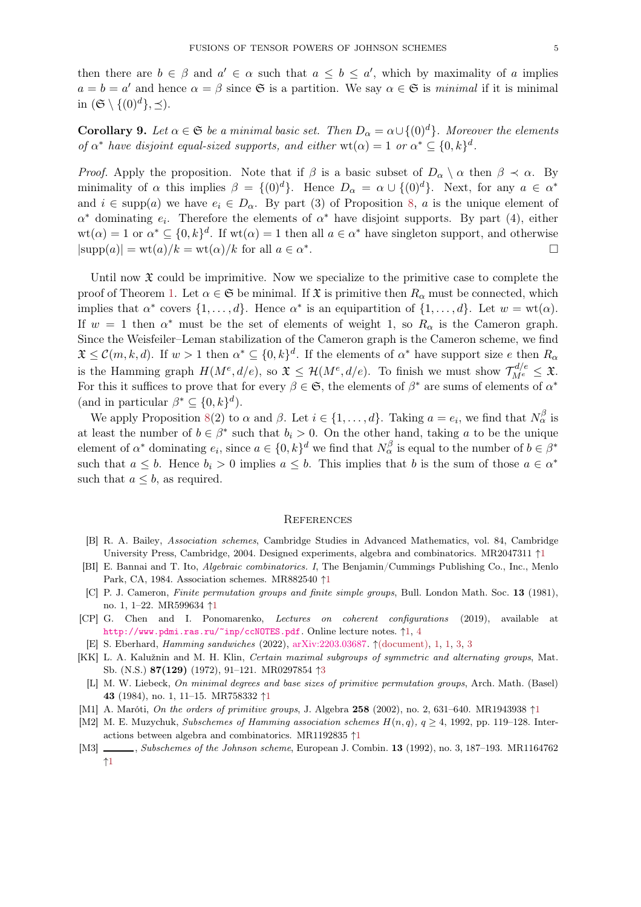then there are  $b \in \beta$  and  $a' \in \alpha$  such that  $a \leq b \leq a'$ , which by maximality of a implies  $a = b = a'$  and hence  $\alpha = \beta$  since G is a partition. We say  $\alpha \in \mathfrak{S}$  is minimal if it is minimal in  $(\mathfrak{S} \setminus \{(0)^d\}, \preceq)$ .

**Corollary 9.** Let  $\alpha \in \mathfrak{S}$  be a minimal basic set. Then  $D_{\alpha} = \alpha \cup \{(0)^d\}$ . Moreover the elements of  $\alpha^*$  have disjoint equal-sized supports, and either wt( $\alpha$ ) = 1 or  $\alpha^* \subseteq \{0, k\}^d$ .

*Proof.* Apply the proposition. Note that if  $\beta$  is a basic subset of  $D_{\alpha} \setminus \alpha$  then  $\beta \prec \alpha$ . By minimality of  $\alpha$  this implies  $\beta = \{(0)^d\}$ . Hence  $D_\alpha = \alpha \cup \{(0)^d\}$ . Next, for any  $a \in \alpha^*$ and  $i \in \text{supp}(a)$  we have  $e_i \in D_\alpha$ . By part (3) of Proposition [8,](#page-3-0) a is the unique element of  $\alpha^*$  dominating  $e_i$ . Therefore the elements of  $\alpha^*$  have disjoint supports. By part (4), either  $wt(\alpha) = 1$  or  $\alpha^* \subseteq \{0, k\}^d$ . If  $wt(\alpha) = 1$  then all  $a \in \alpha^*$  have singleton support, and otherwise  $|\text{supp}(a)| = \text{wt}(a)/k = \text{wt}(\alpha)/k$  for all  $a \in \alpha^*$ .

Until now  $\mathfrak X$  could be imprimitive. Now we specialize to the primitive case to complete the proof of Theorem [1.](#page-0-0) Let  $\alpha \in \mathfrak{S}$  be minimal. If  $\mathfrak{X}$  is primitive then  $R_{\alpha}$  must be connected, which implies that  $\alpha^*$  covers  $\{1, \ldots, d\}$ . Hence  $\alpha^*$  is an equipartition of  $\{1, \ldots, d\}$ . Let  $w = \text{wt}(\alpha)$ . If  $w = 1$  then  $\alpha^*$  must be the set of elements of weight 1, so  $R_\alpha$  is the Cameron graph. Since the Weisfeiler–Leman stabilization of the Cameron graph is the Cameron scheme, we find  $\mathfrak{X} \leq \mathcal{C}(m,k,d)$ . If  $w > 1$  then  $\alpha^* \subseteq \{0,k\}^d$ . If the elements of  $\alpha^*$  have support size e then  $R_\alpha$ is the Hamming graph  $H(M^e, d/e)$ , so  $\mathfrak{X} \leq \mathcal{H}(M^e, d/e)$ . To finish we must show  $\mathcal{T}_{M^e}^{d/e} \leq \mathfrak{X}$ . For this it suffices to prove that for every  $\beta \in \mathfrak{S}$ , the elements of  $\beta^*$  are sums of elements of  $\alpha^*$ (and in particular  $\beta^* \subseteq \{0, k\}^d$ ).

We apply Proposition [8\(](#page-3-0)2) to  $\alpha$  and  $\beta$ . Let  $i \in \{1, ..., d\}$ . Taking  $a = e_i$ , we find that  $N_{\alpha}^{\beta}$  is at least the number of  $b \in \beta^*$  such that  $b_i > 0$ . On the other hand, taking a to be the unique element of  $\alpha^*$  dominating  $e_i$ , since  $a \in \{0, k\}^d$  we find that  $N_\alpha^\beta$  is equal to the number of  $b \in \beta^*$ such that  $a \leq b$ . Hence  $b_i > 0$  implies  $a \leq b$ . This implies that b is the sum of those  $a \in \alpha^*$ such that  $a \leq b$ , as required.

#### **REFERENCES**

- <span id="page-4-3"></span>[B] R. A. Bailey, Association schemes, Cambridge Studies in Advanced Mathematics, vol. 84, Cambridge University Press, Cambridge, 2004. Designed experiments, algebra and combinatorics. MR2047311 ↑[1](#page-0-1)
- <span id="page-4-2"></span>[BI] E. Bannai and T. Ito, Algebraic combinatorics. I, The Benjamin/Cummings Publishing Co., Inc., Menlo Park, CA, 1984. Association schemes. MR882540 ↑[1](#page-0-1)
- <span id="page-4-6"></span>[C] P. J. Cameron, Finite permutation groups and finite simple groups, Bull. London Math. Soc. 13 (1981), no. 1, 1–22. MR599634 ↑[1](#page-1-1)
- <span id="page-4-1"></span>[CP] G. Chen and I. Ponomarenko, Lectures on coherent configurations (2019), available at <http://www.pdmi.ras.ru/~inp/ccNOTES.pdf>. Online lecture notes. ↑[1,](#page-0-1) [4](#page-1-2)
- <span id="page-4-0"></span>[E] S. Eberhard, Hamming sandwiches (2022), [arXiv:2203.03687.](https://arxiv.org/abs/2203.03687) ↑[\(document\),](#page-0-2) [1,](#page-0-1) [1,](#page-0-3) [3,](#page-2-0) [3](#page-2-1)
- <span id="page-4-9"></span>[KK] L. A. Kalužnin and M. H. Klin, Certain maximal subgroups of symmetric and alternating groups, Mat. Sb. (N.S.) 87(129) (1972), 91–121. MR0297854 ↑[3](#page-2-0)
- <span id="page-4-7"></span>[L] M. W. Liebeck, On minimal degrees and base sizes of primitive permutation groups, Arch. Math. (Basel) 43 (1984), no. 1, 11–15. MR758332 ↑[1](#page-1-1)
- <span id="page-4-8"></span>[M[1](#page-1-1)] A. Maróti, *On the orders of primitive groups*, J. Algebra 258 (2002), no. 2, 631–640. MR1943938 ↑1
- <span id="page-4-4"></span>[M2] M. E. Muzychuk, Subschemes of Hamming association schemes  $H(n, q)$ ,  $q \ge 4$ , 1992, pp. 119–128. Interactions between algebra and combinatorics. MR1192835 ↑[1](#page-0-4)
- <span id="page-4-5"></span>[M3] , Subschemes of the Johnson scheme, European J. Combin. 13 (1992), no. 3, 187–193. MR1164762 ↑[1](#page-0-5)